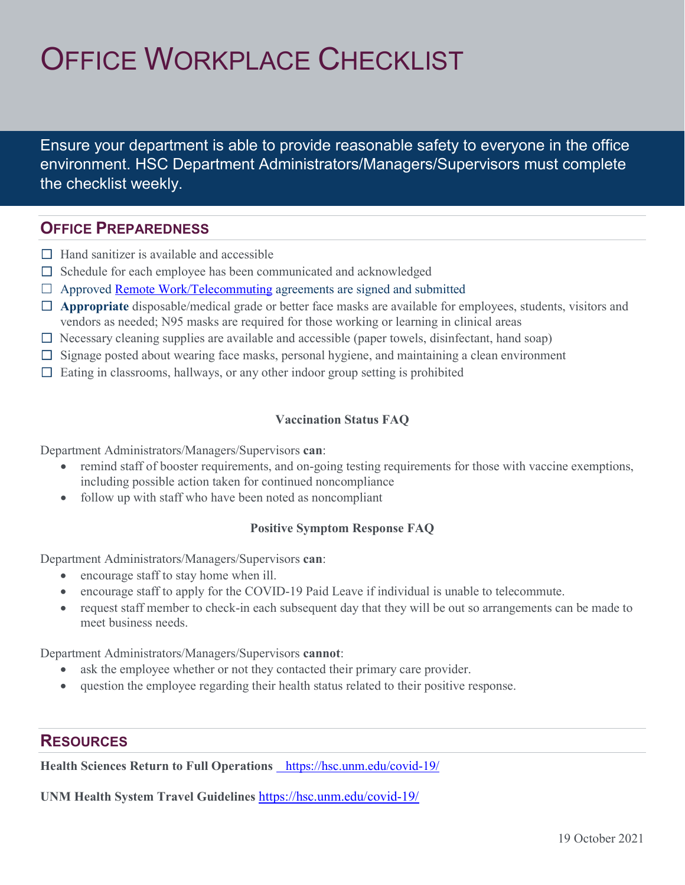# OFFICE WORKPLACE CHECKLIST

Ensure your department is able to provide reasonable safety to everyone in the office environment. HSC Department Administrators/Managers/Supervisors must complete the checklist weekly.

## **OFFICE PREPAREDNESS**

- $\Box$  Hand sanitizer is available and accessible
- $\Box$  Schedule for each employee has been communicated and acknowledged
- $\Box$  Approved **Remote Work/Telecommuting** agreements are signed and submitted
- □ **Appropriate** disposable/medical grade or better face masks are available for employees, students, visitors and vendors as needed; N95 masks are required for those working or learning in clinical areas
- $\Box$  Necessary cleaning supplies are available and accessible (paper towels, disinfectant, hand soap)
- $\Box$  Signage posted about wearing face masks, personal hygiene, and maintaining a clean environment
- $\Box$  Eating in classrooms, hallways, or any other indoor group setting is prohibited

#### **Vaccination Status FAQ**

Department Administrators/Managers/Supervisors **can**:

- remind staff of booster requirements, and on-going testing requirements for those with vaccine exemptions, including possible action taken for continued noncompliance
- follow up with staff who have been noted as noncompliant

### **Positive Symptom Response FAQ**

Department Administrators/Managers/Supervisors **can**:

- encourage staff to stay home when ill.
- encourage staff to apply for the COVID-19 Paid Leave if individual is unable to telecommute.
- request staff member to check-in each subsequent day that they will be out so arrangements can be made to meet business needs.

Department Administrators/Managers/Supervisors **cannot**:

- ask the employee whether or not they contacted their primary care provider.
- question the employee regarding their health status related to their positive response.

### **RESOURCES**

**Health Sciences Return to Full Operations** https://hsc.unm.edu/covid-19/

**UNM Health System Travel Guidelines** <https://hsc.unm.edu/covid-19/>